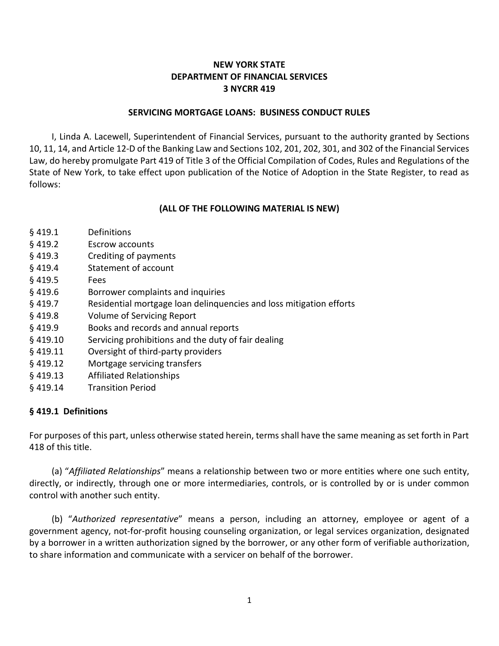# **NEW YORK STATE DEPARTMENT OF FINANCIAL SERVICES 3 NYCRR 419**

#### **SERVICING MORTGAGE LOANS: BUSINESS CONDUCT RULES**

I, Linda A. Lacewell, Superintendent of Financial Services, pursuant to the authority granted by Sections 10, 11, 14, and Article 12-D of the Banking Law and Sections 102, 201, 202, 301, and 302 of the Financial Services Law, do hereby promulgate Part 419 of Title 3 of the Official Compilation of Codes, Rules and Regulations of the State of New York, to take effect upon publication of the Notice of Adoption in the State Register, to read as follows:

#### **(ALL OF THE FOLLOWING MATERIAL IS NEW)**

- § 419.1 Definitions
- § 419.2 Escrow accounts
- § 419.3 Crediting of payments
- § 419.4 Statement of account
- § 419.5 Fees
- § 419.6 Borrower complaints and inquiries
- § 419.7 Residential mortgage loan delinquencies and loss mitigation efforts
- § 419.8 Volume of Servicing Report
- § 419.9 Books and records and annual reports
- § 419.10 Servicing prohibitions and the duty of fair dealing
- § 419.11 Oversight of third-party providers
- § 419.12 Mortgage servicing transfers
- § 419.13 Affiliated Relationships
- § 419.14 Transition Period

### **§ 419.1 Definitions**

For purposes of this part, unless otherwise stated herein, terms shall have the same meaning as set forth in Part 418 of this title.

(a) "*Affiliated Relationships*" means a relationship between two or more entities where one such entity, directly, or indirectly, through one or more intermediaries, controls, or is controlled by or is under common control with another such entity.

(b) "*Authorized representative*" means a person, including an attorney, employee or agent of a government agency, not-for-profit housing counseling organization, or legal services organization, designated by a borrower in a written authorization signed by the borrower, or any other form of verifiable authorization, to share information and communicate with a servicer on behalf of the borrower.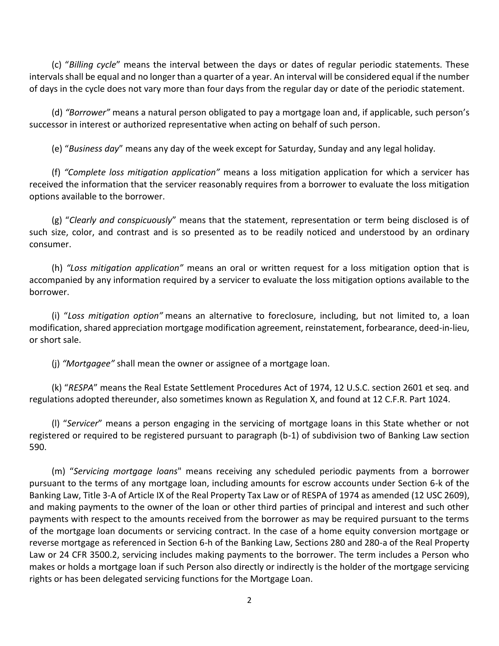(c) "*Billing cycle*" means the interval between the days or dates of regular periodic statements. These intervals shall be equal and no longer than a quarter of a year. An interval will be considered equal if the number of days in the cycle does not vary more than four days from the regular day or date of the periodic statement.

(d) *"Borrower"* means a natural person obligated to pay a mortgage loan and, if applicable, such person's successor in interest or authorized representative when acting on behalf of such person.

(e) "*Business day*" means any day of the week except for Saturday, Sunday and any legal holiday.

(f) *"Complete loss mitigation application"* means a loss mitigation application for which a servicer has received the information that the servicer reasonably requires from a borrower to evaluate the loss mitigation options available to the borrower.

(g) "*Clearly and conspicuously*" means that the statement, representation or term being disclosed is of such size, color, and contrast and is so presented as to be readily noticed and understood by an ordinary consumer.

(h) *"Loss mitigation application"* means an oral or written request for a loss mitigation option that is accompanied by any information required by a servicer to evaluate the loss mitigation options available to the borrower.

(i) "*Loss mitigation option"* means an alternative to foreclosure, including, but not limited to, a loan modification, shared appreciation mortgage modification agreement, reinstatement, forbearance, deed-in-lieu, or short sale.

(j) *"Mortgagee"* shall mean the owner or assignee of a mortgage loan.

(k) "*RESPA*" means the Real Estate Settlement Procedures Act of 1974, 12 U.S.C. section 2601 et seq. and regulations adopted thereunder, also sometimes known as Regulation X, and found at 12 C.F.R. Part 1024.

(l) "*Servicer*" means a person engaging in the servicing of mortgage loans in this State whether or not registered or required to be registered pursuant to paragraph (b-1) of subdivision two of Banking Law section 590.

(m) "*Servicing mortgage loans*" means receiving any scheduled periodic payments from a borrower pursuant to the terms of any mortgage loan, including amounts for escrow accounts under Section 6-k of the Banking Law, Title 3-A of Article IX of the Real Property Tax Law or of RESPA of 1974 as amended (12 USC 2609), and making payments to the owner of the loan or other third parties of principal and interest and such other payments with respect to the amounts received from the borrower as may be required pursuant to the terms of the mortgage loan documents or servicing contract. In the case of a home equity conversion mortgage or reverse mortgage as referenced in Section 6-h of the Banking Law, Sections 280 and 280-a of the Real Property Law or 24 CFR 3500.2, servicing includes making payments to the borrower. The term includes a Person who makes or holds a mortgage loan if such Person also directly or indirectly is the holder of the mortgage servicing rights or has been delegated servicing functions for the Mortgage Loan.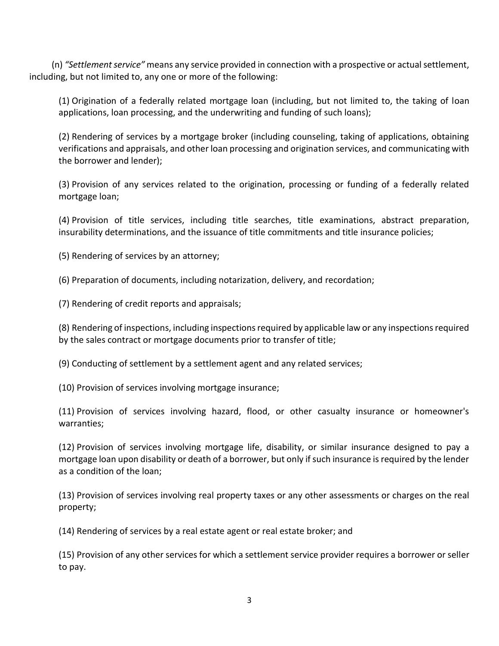(n) *"Settlement service"* means any service provided in connection with a prospective or actual settlement, including, but not limited to, any one or more of the following:

(1) Origination of a federally related mortgage loan (including, but not limited to, the taking of loan applications, loan processing, and the underwriting and funding of such loans);

(2) Rendering of services by a mortgage broker (including counseling, taking of applications, obtaining verifications and appraisals, and other loan processing and origination services, and communicating with the borrower and lender);

(3) Provision of any services related to the origination, processing or funding of a federally related mortgage loan;

(4) Provision of title services, including title searches, title examinations, abstract preparation, insurability determinations, and the issuance of title commitments and title insurance policies;

(5) Rendering of services by an attorney;

(6) Preparation of documents, including notarization, delivery, and recordation;

(7) Rendering of credit reports and appraisals;

(8) Rendering of inspections, including inspections required by applicable law or any inspections required by the sales contract or mortgage documents prior to transfer of title;

(9) Conducting of settlement by a settlement agent and any related services;

(10) Provision of services involving mortgage insurance;

(11) Provision of services involving hazard, flood, or other casualty insurance or homeowner's warranties;

(12) Provision of services involving mortgage life, disability, or similar insurance designed to pay a mortgage loan upon disability or death of a borrower, but only if such insurance is required by the lender as a condition of the loan;

(13) Provision of services involving real property taxes or any other assessments or charges on the real property;

(14) Rendering of services by a real estate agent or real estate broker; and

(15) Provision of any other services for which a settlement service provider requires a borrower or seller to pay.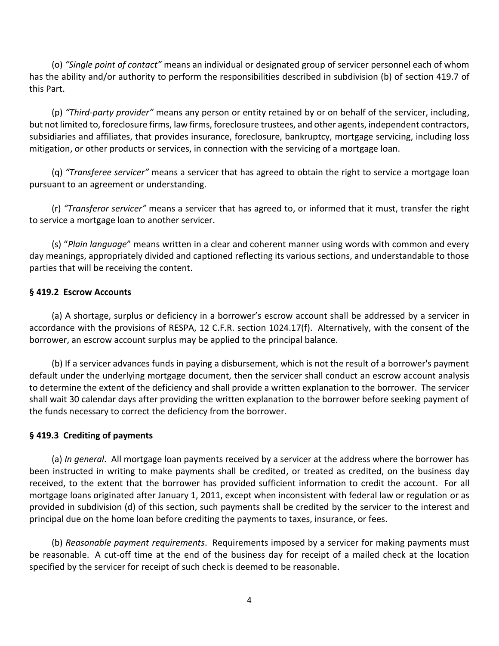(o) *"Single point of contact"* means an individual or designated group of servicer personnel each of whom has the ability and/or authority to perform the responsibilities described in subdivision (b) of section 419.7 of this Part.

(p) *"Third-party provider"* means any person or entity retained by or on behalf of the servicer, including, but not limited to, foreclosure firms, law firms, foreclosure trustees, and other agents, independent contractors, subsidiaries and affiliates, that provides insurance, foreclosure, bankruptcy, mortgage servicing, including loss mitigation, or other products or services, in connection with the servicing of a mortgage loan.

(q) *"Transferee servicer"* means a servicer that has agreed to obtain the right to service a mortgage loan pursuant to an agreement or understanding.

(r) *"Transferor servicer"* means a servicer that has agreed to, or informed that it must, transfer the right to service a mortgage loan to another servicer.

(s) "*Plain language*" means written in a clear and coherent manner using words with common and every day meanings, appropriately divided and captioned reflecting its various sections, and understandable to those parties that will be receiving the content.

## **§ 419.2 Escrow Accounts**

(a) A shortage, surplus or deficiency in a borrower's escrow account shall be addressed by a servicer in accordance with the provisions of RESPA, 12 C.F.R. section 1024.17(f). Alternatively, with the consent of the borrower, an escrow account surplus may be applied to the principal balance.

(b) If a servicer advances funds in paying a disbursement, which is not the result of a borrower's payment default under the underlying mortgage document, then the servicer shall conduct an escrow account analysis to determine the extent of the deficiency and shall provide a written explanation to the borrower. The servicer shall wait 30 calendar days after providing the written explanation to the borrower before seeking payment of the funds necessary to correct the deficiency from the borrower.

### **§ 419.3 Crediting of payments**

(a) *In general*. All mortgage loan payments received by a servicer at the address where the borrower has been instructed in writing to make payments shall be credited, or treated as credited, on the business day received, to the extent that the borrower has provided sufficient information to credit the account. For all mortgage loans originated after January 1, 2011, except when inconsistent with federal law or regulation or as provided in subdivision (d) of this section, such payments shall be credited by the servicer to the interest and principal due on the home loan before crediting the payments to taxes, insurance, or fees.

(b) *Reasonable payment requirements*. Requirements imposed by a servicer for making payments must be reasonable. A cut-off time at the end of the business day for receipt of a mailed check at the location specified by the servicer for receipt of such check is deemed to be reasonable.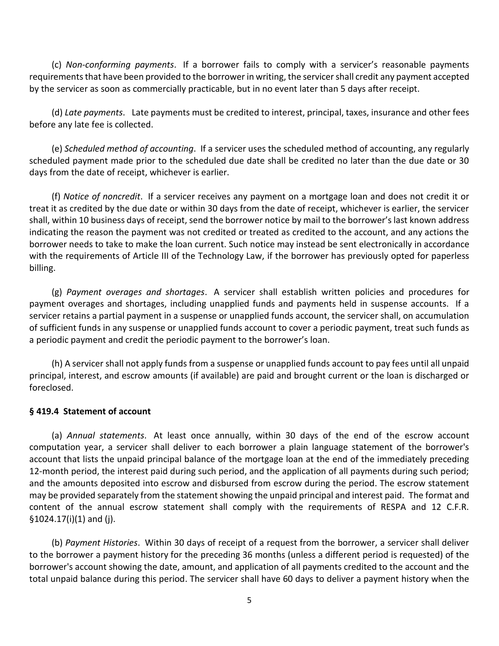(c) *Non-conforming payments*. If a borrower fails to comply with a servicer's reasonable payments requirements that have been provided to the borrower in writing, the servicer shall credit any payment accepted by the servicer as soon as commercially practicable, but in no event later than 5 days after receipt.

(d) *Late payments*. Late payments must be credited to interest, principal, taxes, insurance and other fees before any late fee is collected.

(e) *Scheduled method of accounting*. If a servicer uses the scheduled method of accounting, any regularly scheduled payment made prior to the scheduled due date shall be credited no later than the due date or 30 days from the date of receipt, whichever is earlier.

(f) *Notice of noncredit*. If a servicer receives any payment on a mortgage loan and does not credit it or treat it as credited by the due date or within 30 days from the date of receipt, whichever is earlier, the servicer shall, within 10 business days of receipt, send the borrower notice by mail to the borrower's last known address indicating the reason the payment was not credited or treated as credited to the account, and any actions the borrower needs to take to make the loan current. Such notice may instead be sent electronically in accordance with the requirements of Article III of the Technology Law, if the borrower has previously opted for paperless billing.

(g) *Payment overages and shortages*. A servicer shall establish written policies and procedures for payment overages and shortages, including unapplied funds and payments held in suspense accounts. If a servicer retains a partial payment in a suspense or unapplied funds account, the servicer shall, on accumulation of sufficient funds in any suspense or unapplied funds account to cover a periodic payment, treat such funds as a periodic payment and credit the periodic payment to the borrower's loan.

(h) A servicer shall not apply funds from a suspense or unapplied funds account to pay fees until all unpaid principal, interest, and escrow amounts (if available) are paid and brought current or the loan is discharged or foreclosed.

#### **§ 419.4 Statement of account**

(a) *Annual statements*. At least once annually, within 30 days of the end of the escrow account computation year, a servicer shall deliver to each borrower a plain language statement of the borrower's account that lists the unpaid principal balance of the mortgage loan at the end of the immediately preceding 12-month period, the interest paid during such period, and the application of all payments during such period; and the amounts deposited into escrow and disbursed from escrow during the period. The escrow statement may be provided separately from the statement showing the unpaid principal and interest paid. The format and content of the annual escrow statement shall comply with the requirements of RESPA and 12 C.F.R. §1024.17(i)(1) and (j).

(b) *Payment Histories*. Within 30 days of receipt of a request from the borrower, a servicer shall deliver to the borrower a payment history for the preceding 36 months (unless a different period is requested) of the borrower's account showing the date, amount, and application of all payments credited to the account and the total unpaid balance during this period. The servicer shall have 60 days to deliver a payment history when the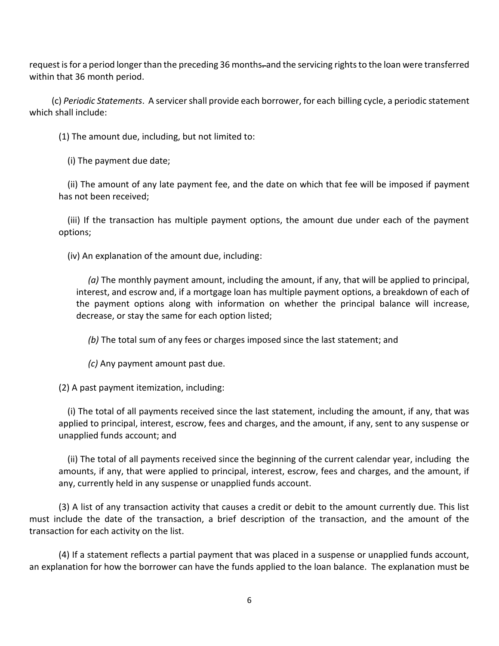request is for a period longer than the preceding 36 months-and the servicing rights to the loan were transferred within that 36 month period.

(c) *Periodic Statements*. A servicer shall provide each borrower, for each [billing](https://www.consumerfinance.gov/eregulations/1026-2/2013-30108_20140118#1026-2-a-4) cycle, a periodic statement which shall include:

(1) The amount due, including, but not limited to:

(i) The payment due date;

(ii) The amount of any late payment fee, and the date on which that fee will be imposed if payment has not been received;

(iii) If the transaction has multiple payment options, the amount due under each of the payment options;

(iv) An explanation of the amount due, including:

*(a)* The monthly payment amount, including the amount, if any, that will be applied to principal, interest, and escrow and, if a [mortgage](https://www.consumerfinance.gov/eregulations/1026-39/2013-30108_20140118#1026-39-a-2) loan has multiple payment options, a breakdown of each of the payment options along with information on whether the principal balance will increase, decrease, or stay the same for each option listed;

*(b)* The total sum of any fees or charges imposed since the last statement; and

*(c)* Any payment amount past due.

(2) A past payment itemization, including:

(i) The total of all payments received since the last statement, including the amount, if any, that was applied to principal, interest, escrow, fees and charges, and the amount, if any, sent to any suspense or unapplied funds account; and

(ii) The total of all payments received since the beginning of the current calendar year, including the amounts, if any, that were applied to principal, interest, escrow, fees and charges, and the amount, if any, currently held in any suspense or unapplied funds account.

(3) A list of any transaction activity that causes a [credit](https://www.consumerfinance.gov/eregulations/1026-2/2013-30108_20140118#1026-2-a-14) or debit to the amount currently due. This list must include the date of the transaction, a brief description of the transaction, and the amount of the transaction for each activity on the list.

(4) If a statement reflects a partial payment that was placed in a suspense or unapplied funds account, an explanation for how the borrower can have the funds applied to the loan balance. The explanation must be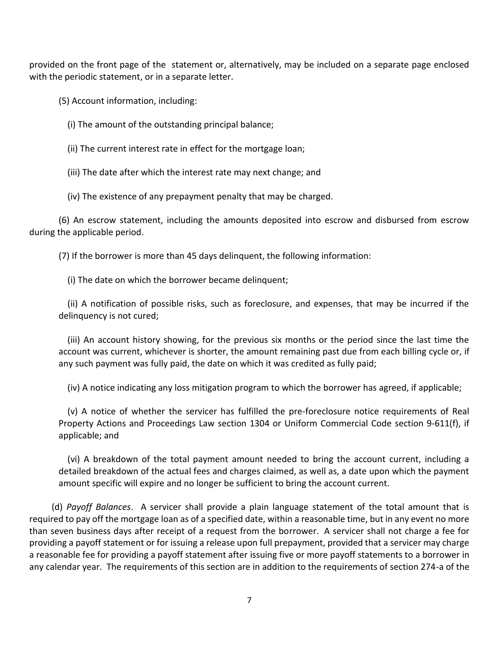provided on the front page of the statement or, alternatively, may be included on a separate page enclosed with the periodic statement, or in a separate letter.

(5) Account information, including:

- (i) The amount of the outstanding principal balance;
- (ii) The current interest rate in effect for the [mortgage](https://www.consumerfinance.gov/eregulations/1026-39/2013-30108_20140118#1026-39-a-2) loan;

(iii) The date after which the interest rate may next change; and

(iv) The existence of any [prepayment](https://www.consumerfinance.gov/eregulations/1026-32/2013-30108_20140118#1026-32-b-6-i) penalty that may be charged.

(6) An escrow statement, including the amounts deposited into escrow and disbursed from escrow during the applicable period.

(7) If the borrower is more than 45 days delinquent, the following information:

(i) The date on which the [borrower](https://www.consumerfinance.gov/eregulations/1026-2/2013-30108_20140118#1026-2-a-11) became delinquent;

(ii) A notification of possible risks, such as foreclosure, and expenses, that may be incurred if the delinquency is not cured;

(iii) An account history showing, for the previous six months or the period since the last time the account was current, whichever is shorter, the amount remaining past due from each [billing](https://www.consumerfinance.gov/eregulations/1026-2/2013-30108_20140118#1026-2-a-4) cycle or, if any such payment was fully paid, the date on which it was credited as fully paid;

(iv) A notice indicating any loss mitigation program to which the [borrower](https://www.consumerfinance.gov/eregulations/1026-2/2013-30108_20140118#1026-2-a-11) has agreed, if applicable;

(v) A notice of whether the servicer has fulfilled the pre-foreclosure notice requirements of Real Property Actions and Proceedings Law section 1304 or Uniform Commercial Code section 9-611(f), if applicable; and

(vi) A breakdown of the total payment amount needed to bring the account current, including a detailed breakdown of the actual fees and charges claimed, as well as, a date upon which the payment amount specific will expire and no longer be sufficient to bring the account current.

(d) *Payoff Balances*. A servicer shall provide a plain language statement of the total amount that is required to pay off the mortgage loan as of a specified date, within a reasonable time, but in any event no more than seven business days after receipt of a request from the borrower. A servicer shall not charge a fee for providing a payoff statement or for issuing a release upon full prepayment, provided that a servicer may charge a reasonable fee for providing a payoff statement after issuing five or more payoff statements to a borrower in any calendar year. The requirements of this section are in addition to the requirements of section 274-a of the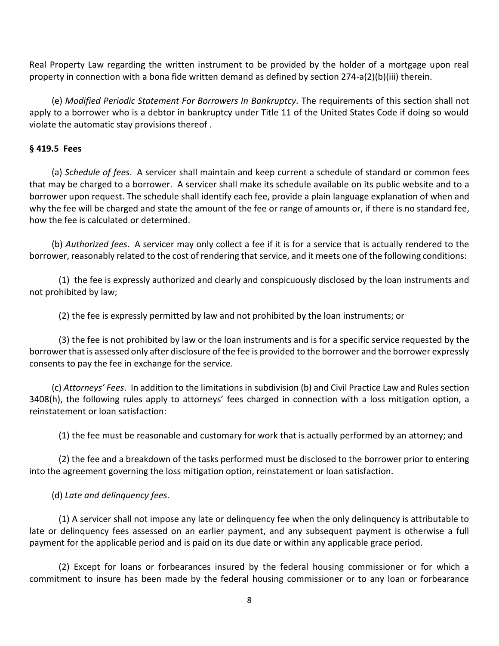Real Property Law regarding the written instrument to be provided by the holder of a mortgage upon real property in connection with a bona fide written demand as defined by section 274-a(2)(b)(iii) therein.

(e) *Modified Periodic Statement For Borrowers In Bankruptcy.* The requirements of this section shall not apply to a borrower who is a debtor in bankruptcy under Title 11 of the United States Code if doing so would violate the automatic stay provisions thereof .

## **§ 419.5 Fees**

(a) *Schedule of fees*. A servicer shall maintain and keep current a schedule of standard or common fees that may be charged to a borrower. A servicer shall make its schedule available on its public website and to a borrower upon request. The schedule shall identify each fee, provide a plain language explanation of when and why the fee will be charged and state the amount of the fee or range of amounts or, if there is no standard fee, how the fee is calculated or determined.

(b) *Authorized fees*. A servicer may only collect a fee if it is for a service that is actually rendered to the borrower, reasonably related to the cost of rendering that service, and it meets one of the following conditions:

(1) the fee is expressly authorized and clearly and conspicuously disclosed by the loan instruments and not prohibited by law;

(2) the fee is expressly permitted by law and not prohibited by the loan instruments; or

(3) the fee is not prohibited by law or the loan instruments and is for a specific service requested by the borrower that is assessed only after disclosure of the fee is provided to the borrower and the borrower expressly consents to pay the fee in exchange for the service.

(c) *Attorneys' Fees*. In addition to the limitations in subdivision (b) and Civil Practice Law and Rules section 3408(h), the following rules apply to attorneys' fees charged in connection with a loss mitigation option, a reinstatement or loan satisfaction:

(1) the fee must be reasonable and customary for work that is actually performed by an attorney; and

(2) the fee and a breakdown of the tasks performed must be disclosed to the borrower prior to entering into the agreement governing the loss mitigation option, reinstatement or loan satisfaction.

# (d) *Late and delinquency fees*.

(1) A servicer shall not impose any late or delinquency fee when the only delinquency is attributable to late or delinquency fees assessed on an earlier payment, and any subsequent payment is otherwise a full payment for the applicable period and is paid on its due date or within any applicable grace period.

(2) Except for loans or forbearances insured by the federal housing commissioner or for which a commitment to insure has been made by the federal housing commissioner or to any loan or forbearance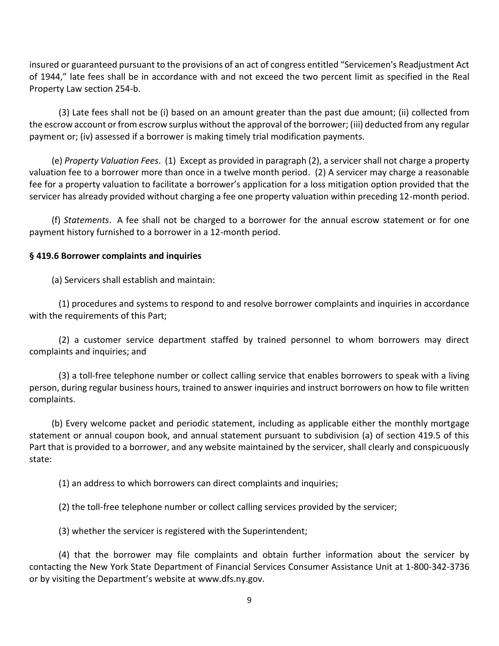insured or guaranteed pursuant to the provisions of an act of congress entitled "Servicemen's Readjustment Act of 1944," late fees shall be in accordance with and not exceed the two percent limit as specified in the Real Property Law section 254-b.

(3) Late fees shall not be (i) based on an amount greater than the past due amount; (ii) collected from the escrow account or from escrow surplus without the approval of the borrower; (iii) deducted from any regular payment or; (iv) assessed if a borrower is making timely trial modification payments.

(e) *Property Valuation Fees*. (1) Except as provided in paragraph (2), a servicer shall not charge a property valuation fee to a borrower more than once in a twelve month period. (2) A servicer may charge a reasonable fee for a property valuation to facilitate a borrower's application for a loss mitigation option provided that the servicer has already provided without charging a fee one property valuation within preceding 12-month period.

(f) *Statements*. A fee shall not be charged to a borrower for the annual escrow statement or for one payment history furnished to a borrower in a 12-month period.

## **§ 419.6 Borrower complaints and inquiries**

(a) Servicers shall establish and maintain:

(1) procedures and systems to respond to and resolve borrower complaints and inquiries in accordance with the requirements of this Part;

(2) a customer service department staffed by trained personnel to whom borrowers may direct complaints and inquiries; and

(3) a toll-free telephone number or collect calling service that enables borrowers to speak with a living person, during regular business hours, trained to answer inquiries and instruct borrowers on how to file written complaints.

(b) Every welcome packet and periodic statement, including as applicable either the monthly mortgage statement or annual coupon book, and annual statement pursuant to subdivision (a) of section 419.5 of this Part that is provided to a borrower, and any website maintained by the servicer, shall clearly and conspicuously state:

(1) an address to which borrowers can direct complaints and inquiries;

(2) the toll-free telephone number or collect calling services provided by the servicer;

(3) whether the servicer is registered with the Superintendent;

(4) that the borrower may file complaints and obtain further information about the servicer by contacting the New York State Department of Financial Services Consumer Assistance Unit at 1-800-342-3736 or by visiting the Department's website at [www.dfs.ny.gov.](http://www.dfs.ny.gov/index.htm)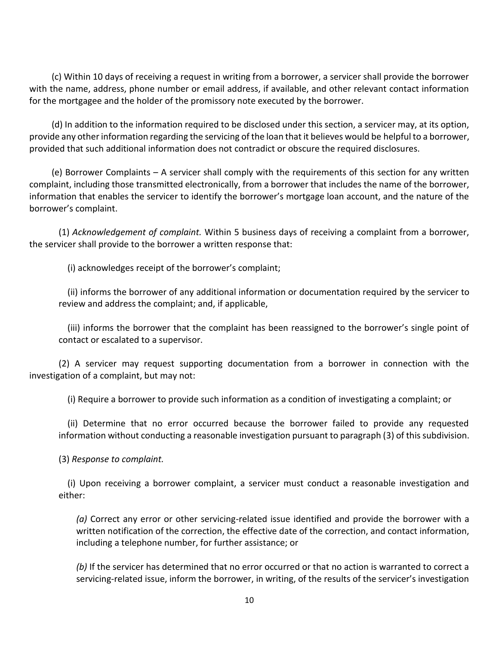(c) Within 10 days of receiving a request in writing from a borrower, a servicer shall provide the borrower with the name, address, phone number or email address, if available, and other relevant contact information for the mortgagee and the holder of the promissory note executed by the borrower.

(d) In addition to the information required to be disclosed under this section, a servicer may, at its option, provide any other information regarding the servicing of the loan that it believes would be helpful to a borrower, provided that such additional information does not contradict or obscure the required disclosures.

(e) Borrower Complaints – A servicer shall comply with the requirements of this section for any written complaint, including those transmitted electronically, from a borrower that includes the name of the borrower, information that enables the servicer to identify the borrower's mortgage loan account, and the nature of the borrower's complaint.

(1) *Acknowledgement of complaint.* Within 5 business days of receiving a complaint from a borrower, the servicer shall provide to the borrower a written response that:

(i) acknowledges receipt of the borrower's complaint;

(ii) informs the borrower of any additional information or documentation required by the servicer to review and address the complaint; and, if applicable,

(iii) informs the borrower that the complaint has been reassigned to the borrower's single point of contact or escalated to a supervisor.

(2) A servicer may request supporting documentation from a borrower in connection with the investigation of a complaint, but may not:

(i) Require a borrower to provide such information as a condition of investigating a complaint; or

(ii) Determine that no error occurred because the borrower failed to provide any requested information without conducting a reasonable investigation pursuant to paragraph (3) of this subdivision.

(3) *Response to complaint.*

(i) Upon receiving a borrower complaint, a servicer must conduct a reasonable investigation and either:

*(a)* Correct any error or other servicing-related issue identified and provide the borrower with a written notification of the correction, the effective date of the correction, and contact information, including a telephone number, for further assistance; or

*(b)* If the servicer has determined that no error occurred or that no action is warranted to correct a servicing-related issue, inform the borrower, in writing, of the results of the servicer's investigation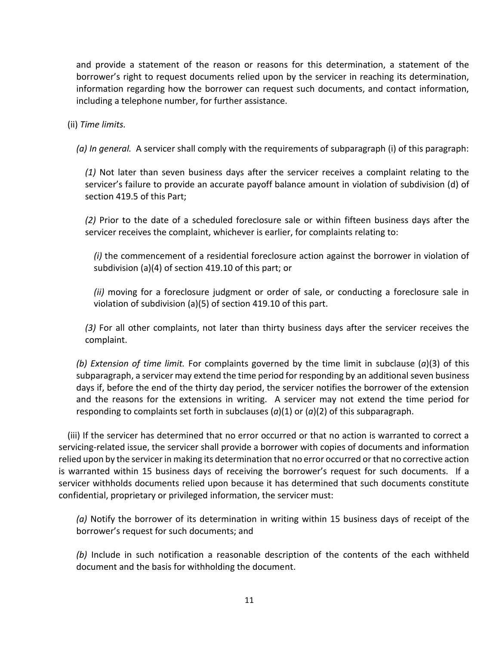and provide a statement of the reason or reasons for this determination, a statement of the borrower's right to request documents relied upon by the servicer in reaching its determination, information regarding how the borrower can request such documents, and contact information, including a telephone number, for further assistance.

(ii) *Time limits.*

*(a) In general.* A servicer shall comply with the requirements of subparagraph (i) of this paragraph:

*(1)* Not later than seven business days after the servicer receives a complaint relating to the servicer's failure to provide an accurate payoff balance amount in violation of subdivision (d) of section 419.5 of this Part;

*(2)* Prior to the date of a scheduled foreclosure sale or within fifteen business days after the servicer receives the complaint, whichever is earlier, for complaints relating to:

*(i)* the commencement of a residential foreclosure action against the borrower in violation of subdivision (a)(4) of section 419.10 of this part; or

*(ii)* moving for a foreclosure judgment or order of sale, or conducting a foreclosure sale in violation of subdivision (a)(5) of section 419.10 of this part.

*(3)* For all other complaints, not later than thirty business days after the servicer receives the complaint.

*(b) Extension of time limit.* For complaints governed by the time limit in subclause (*a*)(3) of this subparagraph, a servicer may extend the time period for responding by an additional seven business days if, before the end of the thirty day period, the servicer notifies the borrower of the extension and the reasons for the extensions in writing. A servicer may not extend the time period for responding to complaints set forth in subclauses (*a*)(1) or (*a*)(2) of this subparagraph.

(iii) If the servicer has determined that no error occurred or that no action is warranted to correct a servicing-related issue, the servicer shall provide a borrower with copies of documents and information relied upon by the servicer in making its determination that no error occurred or that no corrective action is warranted within 15 business days of receiving the borrower's request for such documents. If a servicer withholds documents relied upon because it has determined that such documents constitute confidential, proprietary or privileged information, the servicer must:

*(a)* Notify the borrower of its determination in writing within 15 business days of receipt of the borrower's request for such documents; and

*(b)* Include in such notification a reasonable description of the contents of the each withheld document and the basis for withholding the document.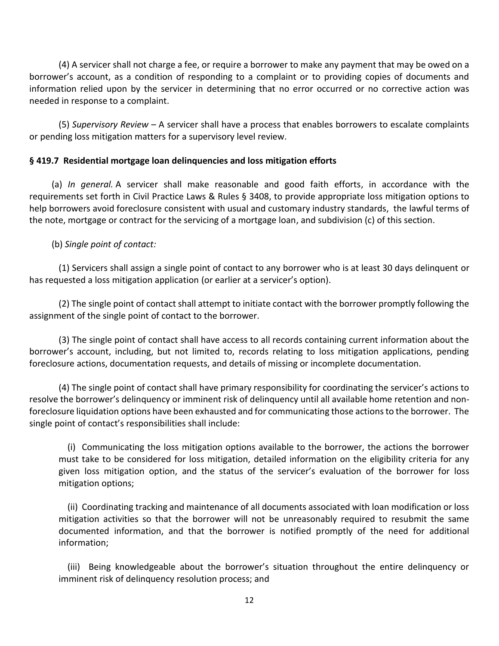(4) A servicer shall not charge a fee, or require a borrower to make any payment that may be owed on a borrower's account, as a condition of responding to a complaint or to providing copies of documents and information relied upon by the servicer in determining that no error occurred or no corrective action was needed in response to a complaint.

(5) *Supervisory Review* – A servicer shall have a process that enables borrowers to escalate complaints or pending loss mitigation matters for a supervisory level review.

## **§ 419.7 Residential mortgage loan delinquencies and loss mitigation efforts**

(a) *In general.* A servicer shall make reasonable and good faith efforts, in accordance with the requirements set forth in Civil Practice Laws & Rules § 3408, to provide appropriate loss mitigation options to help borrowers avoid foreclosure consistent with usual and customary industry standards, the lawful terms of the note, mortgage or contract for the servicing of a mortgage loan, and subdivision (c) of this section.

## (b) *Single point of contact:*

(1) Servicers shall assign a single point of contact to any borrower who is at least 30 days delinquent or has requested a loss mitigation application (or earlier at a servicer's option).

(2) The single point of contact shall attempt to initiate contact with the borrower promptly following the assignment of the single point of contact to the borrower.

(3) The single point of contact shall have access to all records containing current information about the borrower's account, including, but not limited to, records relating to loss mitigation applications, pending foreclosure actions, documentation requests, and details of missing or incomplete documentation.

(4) The single point of contact shall have primary responsibility for coordinating the servicer's actions to resolve the borrower's delinquency or imminent risk of delinquency until all available home retention and nonforeclosure liquidation options have been exhausted and for communicating those actions to the borrower. The single point of contact's responsibilities shall include:

(i) Communicating the loss mitigation options available to the borrower, the actions the borrower must take to be considered for loss mitigation, detailed information on the eligibility criteria for any given loss mitigation option, and the status of the servicer's evaluation of the borrower for loss mitigation options;

(ii) Coordinating tracking and maintenance of all documents associated with loan modification or loss mitigation activities so that the borrower will not be unreasonably required to resubmit the same documented information, and that the borrower is notified promptly of the need for additional information;

(iii) Being knowledgeable about the borrower's situation throughout the entire delinquency or imminent risk of delinquency resolution process; and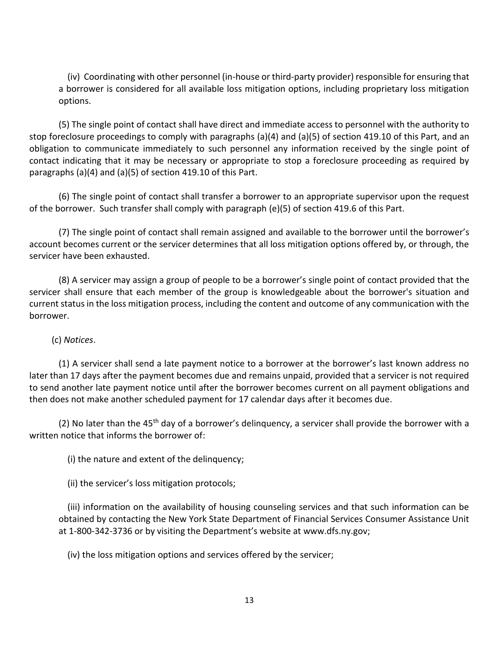(iv) Coordinating with other personnel (in-house or third-party provider) responsible for ensuring that a borrower is considered for all available loss mitigation options, including proprietary loss mitigation options.

(5) The single point of contact shall have direct and immediate access to personnel with the authority to stop foreclosure proceedings to comply with paragraphs (a)(4) and (a)(5) of section 419.10 of this Part, and an obligation to communicate immediately to such personnel any information received by the single point of contact indicating that it may be necessary or appropriate to stop a foreclosure proceeding as required by paragraphs (a)(4) and (a)(5) of section 419.10 of this Part.

(6) The single point of contact shall transfer a borrower to an appropriate supervisor upon the request of the borrower. Such transfer shall comply with paragraph (e)(5) of section 419.6 of this Part.

(7) The single point of contact shall remain assigned and available to the borrower until the borrower's account becomes current or the servicer determines that all loss mitigation options offered by, or through, the servicer have been exhausted.

(8) A servicer may assign a group of people to be a borrower's single point of contact provided that the servicer shall ensure that each member of the group is knowledgeable about the borrower's situation and current status in the loss mitigation process, including the content and outcome of any communication with the borrower.

# (c) *Notices*.

(1) A servicer shall send a late payment notice to a borrower at the borrower's last known address no later than 17 days after the payment becomes due and remains unpaid, provided that a servicer is not required to send another late payment notice until after the borrower becomes current on all payment obligations and then does not make another scheduled payment for 17 calendar days after it becomes due.

(2) No later than the  $45<sup>th</sup>$  day of a borrower's delinguency, a servicer shall provide the borrower with a written notice that informs the borrower of:

(i) the nature and extent of the delinquency;

(ii) the servicer's loss mitigation protocols;

(iii) information on the availability of housing counseling services and that such information can be obtained by contacting the New York State Department of Financial Services Consumer Assistance Unit at 1-800-342-3736 or by visiting the Department's website at [www.dfs.ny.gov;](http://www.dfs.ny.gov/index.htm)

(iv) the loss mitigation options and services offered by the servicer;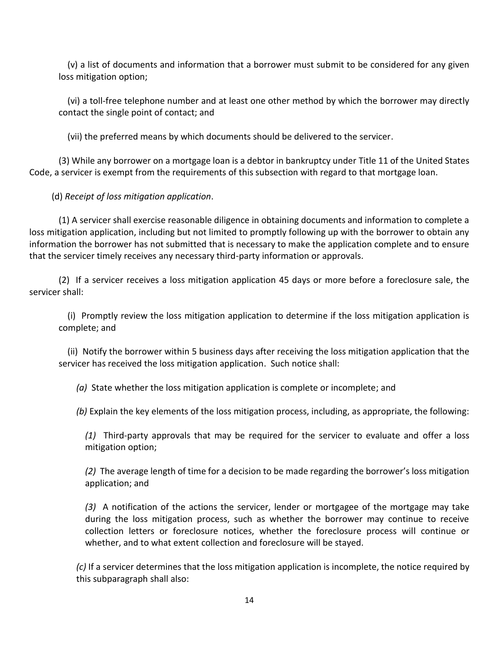(v) a list of documents and information that a borrower must submit to be considered for any given loss mitigation option;

(vi) a toll-free telephone number and at least one other method by which the borrower may directly contact the single point of contact; and

(vii) the preferred means by which documents should be delivered to the servicer.

(3) While any borrower on a mortgage loan is a debtor in bankruptcy under Title 11 of the United States Code, a servicer is exempt from the requirements of this subsection with regard to that mortgage loan.

(d) *Receipt of loss mitigation application*.

(1) A servicer shall exercise reasonable diligence in obtaining documents and information to complete a loss mitigation application, including but not limited to promptly following up with the borrower to obtain any information the borrower has not submitted that is necessary to make the application complete and to ensure that the servicer timely receives any necessary third-party information or approvals.

(2) If a servicer receives a loss mitigation application 45 days or more before a foreclosure sale, the servicer shall:

(i) Promptly review the loss mitigation application to determine if the loss mitigation application is complete; and

(ii) Notify the borrower within 5 business days after receiving the loss mitigation application that the servicer has received the loss mitigation application. Such notice shall:

*(a)* State whether the loss mitigation application is complete or incomplete; and

*(b)* Explain the key elements of the loss mitigation process, including, as appropriate, the following:

*(1)* Third-party approvals that may be required for the servicer to evaluate and offer a loss mitigation option;

*(2)* The average length of time for a decision to be made regarding the borrower's loss mitigation application; and

*(3)* A notification of the actions the servicer, lender or mortgagee of the mortgage may take during the loss mitigation process, such as whether the borrower may continue to receive collection letters or foreclosure notices, whether the foreclosure process will continue or whether, and to what extent collection and foreclosure will be stayed.

*(c)* If a servicer determines that the loss mitigation application is incomplete, the notice required by this subparagraph shall also: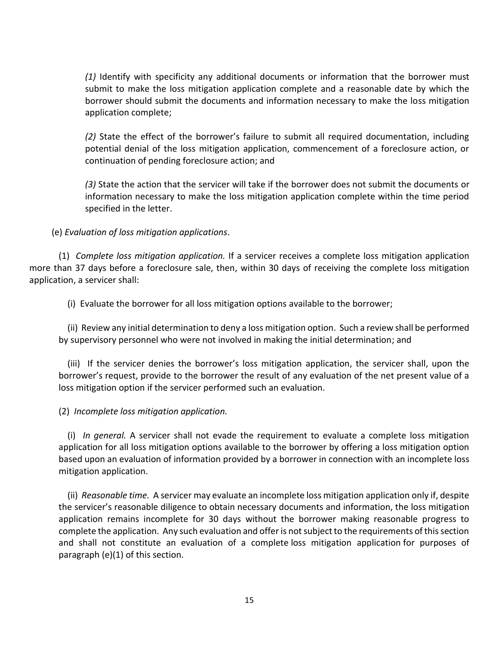*(1)* Identify with specificity any additional documents or information that the borrower must submit to make the loss mitigation application complete and a reasonable date by which the borrower should submit the documents and information necessary to make the loss mitigation application complete;

*(2)* State the effect of the borrower's failure to submit all required documentation, including potential denial of the loss mitigation application, commencement of a foreclosure action, or continuation of pending foreclosure action; and

*(3)* State the action that the servicer will take if the borrower does not submit the documents or information necessary to make the loss mitigation application complete within the time period specified in the letter.

### (e) *Evaluation of loss mitigation applications*.

(1) *Complete loss mitigation application.* If a servicer receives a complete loss mitigation application more than 37 days before a foreclosure sale, then, within 30 days of receiving the complete loss mitigation application, a servicer shall:

(i) Evaluate the borrower for all loss mitigation options available to the borrower;

(ii) Review any initial determination to deny a loss mitigation option. Such a review shall be performed by supervisory personnel who were not involved in making the initial determination; and

(iii) If the servicer denies the borrower's loss mitigation application, the servicer shall, upon the borrower's request, provide to the borrower the result of any evaluation of the net present value of a loss mitigation option if the servicer performed such an evaluation.

### (2) *Incomplete loss mitigation application.*

(i) *In general.* A servicer shall not evade the requirement to evaluate a complete loss mitigation application for all loss mitigation options available to the borrower by offering a loss mitigation option based upon an evaluation of information provided by a borrower in connection with an incomplete loss mitigation application.

(ii) *Reasonable time.* A servicer may evaluate an incomplete loss mitigation application only if, despite the servicer's reasonable diligence to obtain necessary documents and information, the loss mitigation application remains incomplete for 30 days without the borrower making reasonable progress to complete the application. Any such evaluation and offer is not subject to the requirements of this section and shall not constitute an evaluation of a complete loss mitigation [application](https://www.consumerfinance.gov/eregulations/1024-31/2015-18239#1024-31-LossMitigationApplication) for purposes of paragraph [\(e\)\(](https://www.consumerfinance.gov/eregulations/1024-41/2015-18239#1024-41-i)1) of this section.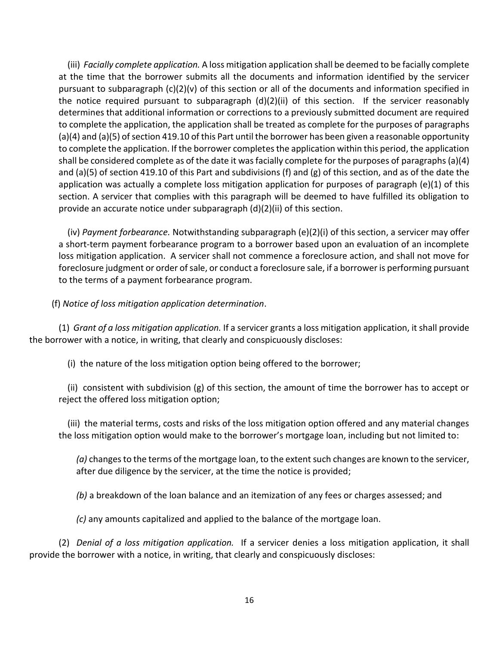(iii) *Facially complete application.* A loss mitigation application shall be deemed to be facially complete at the time that the borrower submits all the documents and information identified by the servicer pursuant to subparagraph (c)(2)(v) of this section or all of the documents and information specified in the notice required pursuant to subparagraph  $(d)(2)(ii)$  of this section. If the servicer reasonably determines that additional information or corrections to a previously submitted document are required to complete the application, the application shall be treated as complete for the purposes of paragraphs (a)(4) and (a)(5) of section 419.10 of this Part until the borrower has been given a reasonable opportunity to complete the application. If the borrower completes the application within this period, the application shall be considered complete as of the date it was facially complete for the purposes of paragraphs (a)(4) and (a)(5) of section 419.10 of this Part and subdivisions (f) and (g) of this section, and as of the date the application was actually a complete loss mitigation application for purposes of paragraph (e)(1) of this section. A servicer that complies with this paragraph will be deemed to have fulfilled its obligation to provide an accurate notice under subparagraph (d)(2)(ii) of this section.

(iv) *Payment forbearance.* Notwithstanding subparagraph (e)(2)(i) of this section, a servicer may offer a short-term payment forbearance program to a borrower based upon an evaluation of an incomplete loss mitigation application. A servicer shall not commence a foreclosure action, and shall not move for foreclosure judgment or order of sale, or conduct a foreclosure sale, if a borrower is performing pursuant to the terms of a payment forbearance program.

(f) *Notice of loss mitigation application determination*.

(1) *Grant of a loss mitigation application.* If a servicer grants a loss mitigation application, it shall provide the borrower with a notice, in writing, that clearly and conspicuously discloses:

(i) the nature of the loss mitigation option being offered to the borrower;

(ii) consistent with subdivision (g) of this section, the amount of time the borrower has to accept or reject the offered loss mitigation option;

(iii) the material terms, costs and risks of the loss mitigation option offered and any material changes the loss mitigation option would make to the borrower's mortgage loan, including but not limited to:

*(a)* changes to the terms of the mortgage loan, to the extent such changes are known to the servicer, after due diligence by the servicer, at the time the notice is provided;

*(b)* a breakdown of the loan balance and an itemization of any fees or charges assessed; and

*(c)* any amounts capitalized and applied to the balance of the mortgage loan.

(2) *Denial of a loss mitigation application.* If a servicer denies a loss mitigation application, it shall provide the borrower with a notice, in writing, that clearly and conspicuously discloses: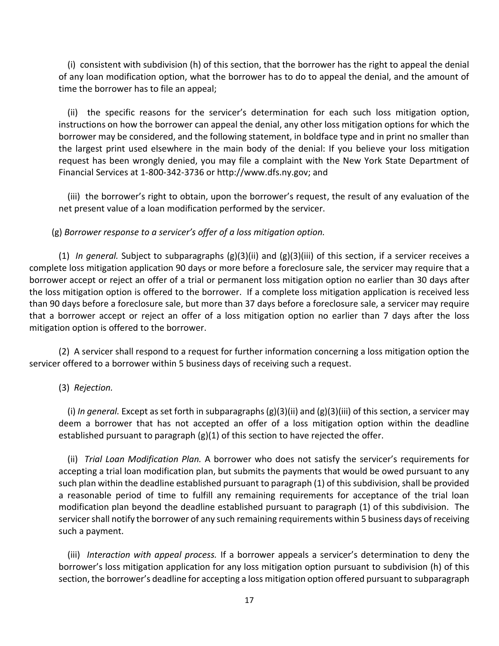(i) consistent with subdivision (h) of this section, that the borrower has the right to appeal the denial of any loan modification option, what the borrower has to do to appeal the denial, and the amount of time the borrower has to file an appeal;

(ii) the specific reasons for the servicer's determination for each such loss mitigation option, instructions on how the borrower can appeal the denial, any other loss mitigation options for which the borrower may be considered, and the following statement, in boldface type and in print no smaller than the largest print used elsewhere in the main body of the denial: If you believe your loss mitigation request has been wrongly denied, you may file a complaint with the New York State Department of Financial Services at 1-800-342-3736 or http://www.dfs.ny.gov; and

(iii) the borrower's right to obtain, upon the borrower's request, the result of any evaluation of the net present value of a loan modification performed by the servicer.

#### (g) *Borrower response to a servicer's offer of a loss mitigation option.*

(1) *In general.* Subject to subparagraphs (g)(3)(ii) and (g)(3)(iii) of this section, if a servicer receives a complete loss mitigation application 90 days or more before a foreclosure sale, the servicer may require that a borrower accept or reject an offer of a trial or permanent loss mitigation option no earlier than 30 days after the loss mitigation option is offered to the borrower. If a complete loss mitigation application is received less than 90 days before a foreclosure sale, but more than 37 days before a foreclosure sale, a servicer may require that a borrower accept or reject an offer of a loss mitigation option no earlier than 7 days after the loss mitigation option is offered to the borrower.

(2) A servicer shall respond to a request for further information concerning a loss mitigation option the servicer offered to a borrower within 5 business days of receiving such a request.

#### (3) *Rejection.*

(i) *In general.* Except as set forth in subparagraphs (g)(3)(ii) and (g)(3)(iii) of this section, a servicer may deem a borrower that has not accepted an offer of a loss mitigation option within the deadline established pursuant to paragraph (g)(1) of this section to have rejected the offer.

(ii) *Trial Loan Modification Plan.* A borrower who does not satisfy the servicer's requirements for accepting a trial loan modification plan, but submits the payments that would be owed pursuant to any such plan within the deadline established pursuant to paragraph (1) of this subdivision, shall be provided a reasonable period of time to fulfill any remaining requirements for acceptance of the trial loan modification plan beyond the deadline established pursuant to paragraph (1) of this subdivision. The servicer shall notify the borrower of any such remaining requirements within 5 business days of receiving such a payment.

(iii) *Interaction with appeal process.* If a borrower appeals a servicer's determination to deny the borrower's loss mitigation application for any loss mitigation option pursuant to subdivision (h) of this section, the borrower's deadline for accepting a loss mitigation option offered pursuant to subparagraph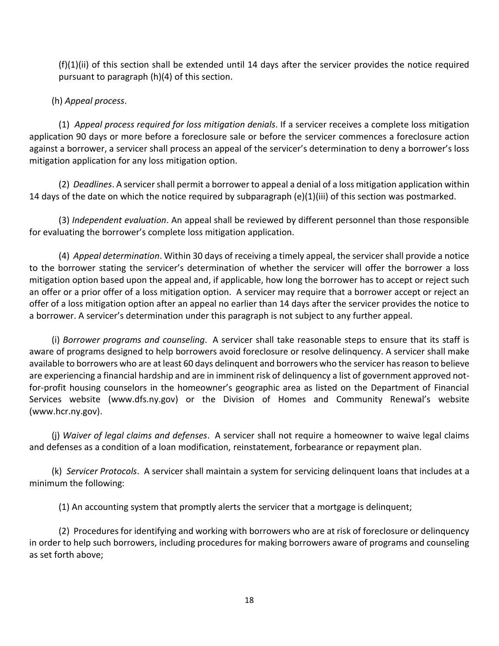(f)(1)(ii) of this section shall be extended until 14 days after the servicer provides the notice required pursuant to paragraph (h)(4) of this section.

(h) *Appeal process*.

(1) *Appeal process required for loss mitigation denials*. If a servicer receives a complete loss mitigation application 90 days or more before a foreclosure sale or before the servicer commences a foreclosure action against a borrower, a servicer shall process an appeal of the servicer's determination to deny a borrower's loss mitigation application for any loss mitigation option.

(2) *Deadlines*. A servicer shall permit a borrower to appeal a denial of a loss mitigation application within 14 days of the date on which the notice required by subparagraph (e)(1)(iii) of this section was postmarked.

(3) *Independent evaluation*. An appeal shall be reviewed by different personnel than those responsible for evaluating the borrower's complete loss mitigation application.

(4) *Appeal determination*. Within 30 days of receiving a timely appeal, the servicer shall provide a notice to the borrower stating the servicer's determination of whether the servicer will offer the borrower a loss mitigation option based upon the appeal and, if applicable, how long the borrower has to accept or reject such an offer or a prior offer of a loss mitigation option. A servicer may require that a borrower accept or reject an offer of a loss mitigation option after an appeal no earlier than 14 days after the servicer provides the notice to a borrower. A servicer's determination under this paragraph is not subject to any further appeal.

(i) *Borrower programs and counseling*. A servicer shall take reasonable steps to ensure that its staff is aware of programs designed to help borrowers avoid foreclosure or resolve delinquency. A servicer shall make available to borrowers who are at least 60 days delinquent and borrowers who the servicer hasreason to believe are experiencing a financial hardship and are in imminent risk of delinquency a list of government approved notfor-profit housing counselors in the homeowner's geographic area as listed on the Department of Financial Services website [\(www.dfs.ny.gov\)](http://www.dfs.ny.gov/) or the Division of Homes and Community Renewal's website [\(www.hcr.ny.gov\)](http://www.nyshcr.org/).

(j) *Waiver of legal claims and defenses*. A servicer shall not require a homeowner to waive legal claims and defenses as a condition of a loan modification, reinstatement, forbearance or repayment plan.

(k) *Servicer Protocols*. A servicer shall maintain a system for servicing delinquent loans that includes at a minimum the following:

(1) An accounting system that promptly alerts the servicer that a mortgage is delinquent;

(2) Procedures for identifying and working with borrowers who are at risk of foreclosure or delinquency in order to help such borrowers, including procedures for making borrowers aware of programs and counseling as set forth above;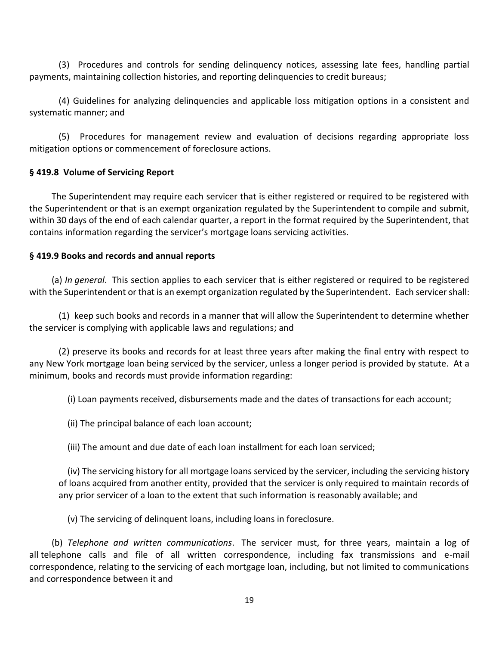(3) Procedures and controls for sending delinquency notices, assessing late fees, handling partial payments, maintaining collection histories, and reporting delinquencies to credit bureaus;

(4) Guidelines for analyzing delinquencies and applicable loss mitigation options in a consistent and systematic manner; and

(5) Procedures for management review and evaluation of decisions regarding appropriate loss mitigation options or commencement of foreclosure actions.

## **§ 419.8 Volume of Servicing Report**

The Superintendent may require each servicer that is either registered or required to be registered with the Superintendent or that is an exempt organization regulated by the Superintendent to compile and submit, within 30 days of the end of each calendar quarter, a report in the format required by the Superintendent, that contains information regarding the servicer's mortgage loans servicing activities.

## **§ 419.9 Books and records and annual reports**

(a) *In general*. This section applies to each servicer that is either registered or required to be registered with the Superintendent or that is an exempt organization regulated by the Superintendent. Each servicer shall:

(1) keep such books and records in a manner that will allow the Superintendent to determine whether the servicer is complying with applicable laws and regulations; and

(2) preserve its books and records for at least three years after making the final entry with respect to any New York mortgage loan being serviced by the servicer, unless a longer period is provided by statute. At a minimum, books and records must provide information regarding:

(i) Loan payments received, disbursements made and the dates of transactions for each account;

- (ii) The principal balance of each loan account;
- (iii) The amount and due date of each loan installment for each loan serviced;

(iv) The servicing history for all mortgage loans serviced by the servicer, including the servicing history of loans acquired from another entity, provided that the servicer is only required to maintain records of any prior servicer of a loan to the extent that such information is reasonably available; and

(v) The servicing of delinquent loans, including loans in foreclosure.

(b) *Telephone and written communications*. The servicer must, for three years, maintain a log of all telephone calls and file of all written correspondence, including fax transmissions and e-mail correspondence, relating to the servicing of each mortgage loan, including, but not limited to communications and correspondence between it and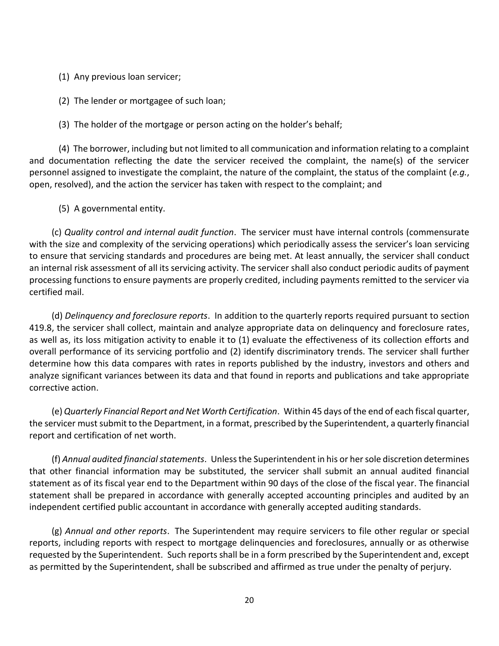- (1) Any previous loan servicer;
- (2) The lender or mortgagee of such loan;
- (3) The holder of the mortgage or person acting on the holder's behalf;

(4) The borrower, including but not limited to all communication and information relating to a complaint and documentation reflecting the date the servicer received the complaint, the name(s) of the servicer personnel assigned to investigate the complaint, the nature of the complaint, the status of the complaint (*e.g.*, open, resolved), and the action the servicer has taken with respect to the complaint; and

(5) A governmental entity.

(c) *Quality control and internal audit function*. The servicer must have internal controls (commensurate with the size and complexity of the servicing operations) which periodically assess the servicer's loan servicing to ensure that servicing standards and procedures are being met. At least annually, the servicer shall conduct an internal risk assessment of all its servicing activity. The servicer shall also conduct periodic audits of payment processing functions to ensure payments are properly credited, including payments remitted to the servicer via certified mail.

(d) *Delinquency and foreclosure reports*. In addition to the quarterly reports required pursuant to section 419.8, the servicer shall collect, maintain and analyze appropriate data on delinquency and foreclosure rates, as well as, its loss mitigation activity to enable it to (1) evaluate the effectiveness of its collection efforts and overall performance of its servicing portfolio and (2) identify discriminatory trends. The servicer shall further determine how this data compares with rates in reports published by the industry, investors and others and analyze significant variances between its data and that found in reports and publications and take appropriate corrective action.

(e) *Quarterly Financial Report and Net Worth Certification*. Within 45 days of the end of each fiscal quarter, the servicer must submit to the Department, in a format, prescribed by the Superintendent, a quarterly financial report and certification of net worth.

(f) *Annual audited financial statements*. Unless the Superintendent in his or her sole discretion determines that other financial information may be substituted, the servicer shall submit an annual audited financial statement as of its fiscal year end to the Department within 90 days of the close of the fiscal year. The financial statement shall be prepared in accordance with generally accepted accounting principles and audited by an independent certified public accountant in accordance with generally accepted auditing standards.

(g) *Annual and other reports*. The Superintendent may require servicers to file other regular or special reports, including reports with respect to mortgage delinquencies and foreclosures, annually or as otherwise requested by the Superintendent. Such reports shall be in a form prescribed by the Superintendent and, except as permitted by the Superintendent, shall be subscribed and affirmed as true under the penalty of perjury.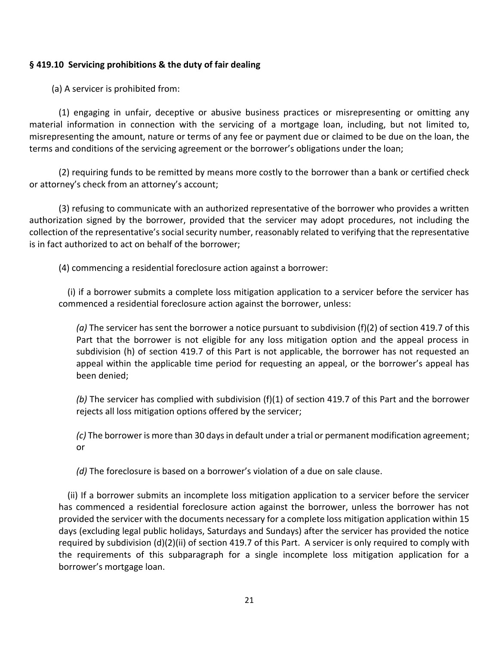## **§ 419.10 Servicing prohibitions & the duty of fair dealing**

(a) A servicer is prohibited from:

(1) engaging in unfair, deceptive or abusive business practices or misrepresenting or omitting any material information in connection with the servicing of a mortgage loan, including, but not limited to, misrepresenting the amount, nature or terms of any fee or payment due or claimed to be due on the loan, the terms and conditions of the servicing agreement or the borrower's obligations under the loan;

(2) requiring funds to be remitted by means more costly to the borrower than a bank or certified check or attorney's check from an attorney's account;

(3) refusing to communicate with an authorized representative of the borrower who provides a written authorization signed by the borrower, provided that the servicer may adopt procedures, not including the collection of the representative's social security number, reasonably related to verifying that the representative is in fact authorized to act on behalf of the borrower;

(4) commencing a residential foreclosure action against a borrower:

(i) if a borrower submits a complete loss mitigation application to a servicer before the servicer has commenced a residential foreclosure action against the borrower, unless:

*(a)* The servicer has sent the borrower a notice pursuant to subdivision (f)(2) of section 419.7 of this Part that the borrower is not eligible for any loss mitigation option and the appeal process in subdivision (h) of section 419.7 of this Part is not applicable, the borrower has not requested an appeal within the applicable time period for requesting an appeal, or the borrower's appeal has been denied;

*(b)* The servicer has complied with subdivision (f)(1) of section 419.7 of this Part and the borrower rejects all loss mitigation options offered by the servicer;

*(c)* The borrower is more than 30 days in default under a trial or permanent modification agreement; or

*(d)* The foreclosure is based on a borrower's violation of a due on sale clause.

(ii) If a borrower submits an incomplete loss mitigation application to a servicer before the servicer has commenced a residential foreclosure action against the borrower, unless the borrower has not provided the servicer with the documents necessary for a complete loss mitigation application within 15 days (excluding legal public holidays, Saturdays and Sundays) after the servicer has provided the notice required by subdivision (d)(2)(ii) of section 419.7 of this Part. A servicer is only required to comply with the requirements of this subparagraph for a single incomplete loss mitigation application for a borrower's mortgage loan.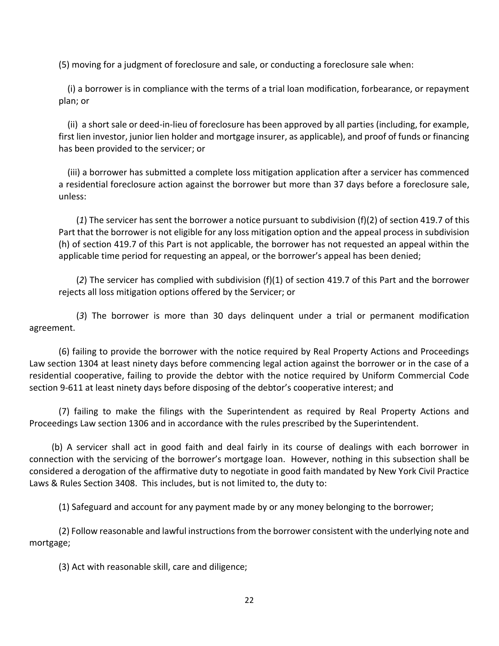(5) moving for a judgment of foreclosure and sale, or conducting a foreclosure sale when:

(i) a borrower is in compliance with the terms of a trial loan modification, forbearance, or repayment plan; or

(ii) a short sale or deed-in-lieu of foreclosure has been approved by all parties (including, for example, first lien investor, junior lien holder and mortgage insurer, as applicable), and proof of funds or financing has been provided to the servicer; or

(iii) a borrower has submitted a complete loss mitigation application after a servicer has commenced a residential foreclosure action against the borrower but more than 37 days before a foreclosure sale, unless:

(*1*) The servicer has sent the borrower a notice pursuant to subdivision (f)(2) of section 419.7 of this Part that the borrower is not eligible for any loss mitigation option and the appeal process in subdivision (h) of section 419.7 of this Part is not applicable, the borrower has not requested an appeal within the applicable time period for requesting an appeal, or the borrower's appeal has been denied;

(*2*) The servicer has complied with subdivision (f)(1) of section 419.7 of this Part and the borrower rejects all loss mitigation options offered by the Servicer; or

(*3*) The borrower is more than 30 days delinquent under a trial or permanent modification agreement.

(6) failing to provide the borrower with the notice required by Real Property Actions and Proceedings Law section 1304 at least ninety days before commencing legal action against the borrower or in the case of a residential cooperative, failing to provide the debtor with the notice required by Uniform Commercial Code section 9-611 at least ninety days before disposing of the debtor's cooperative interest; and

(7) failing to make the filings with the Superintendent as required by Real Property Actions and Proceedings Law section 1306 and in accordance with the rules prescribed by the Superintendent.

(b) A servicer shall act in good faith and deal fairly in its course of dealings with each borrower in connection with the servicing of the borrower's mortgage loan. However, nothing in this subsection shall be considered a derogation of the affirmative duty to negotiate in good faith mandated by New York Civil Practice Laws & Rules Section 3408. This includes, but is not limited to, the duty to:

(1) Safeguard and account for any payment made by or any money belonging to the borrower;

(2) Follow reasonable and lawful instructions from the borrower consistent with the underlying note and mortgage;

(3) Act with reasonable skill, care and diligence;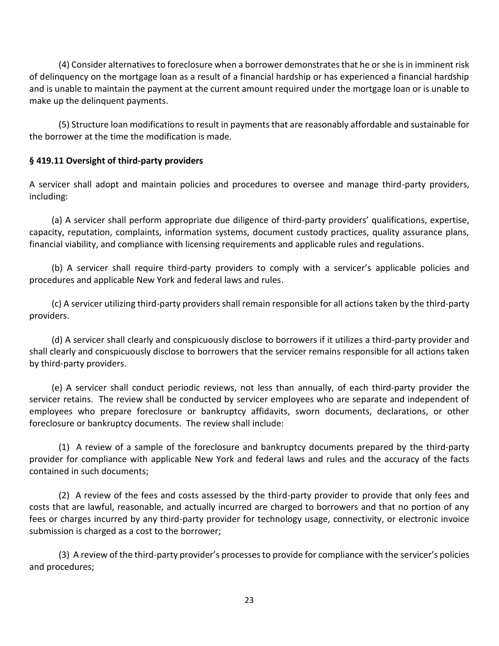(4) Consider alternatives to foreclosure when a borrower demonstrates that he or she is in imminent risk of delinquency on the mortgage loan as a result of a financial hardship or has experienced a financial hardship and is unable to maintain the payment at the current amount required under the mortgage loan or is unable to make up the delinquent payments.

(5) Structure loan modifications to result in payments that are reasonably affordable and sustainable for the borrower at the time the modification is made.

## **§ 419.11 Oversight of third-party providers**

A servicer shall adopt and maintain policies and procedures to oversee and manage third-party providers, including:

(a) A servicer shall perform appropriate due diligence of third-party providers' qualifications, expertise, capacity, reputation, complaints, information systems, document custody practices, quality assurance plans, financial viability, and compliance with licensing requirements and applicable rules and regulations.

(b) A servicer shall require third-party providers to comply with a servicer's applicable policies and procedures and applicable New York and federal laws and rules.

(c) A servicer utilizing third-party providers shall remain responsible for all actions taken by the third-party providers.

(d) A servicer shall clearly and conspicuously disclose to borrowers if it utilizes a third-party provider and shall clearly and conspicuously disclose to borrowers that the servicer remains responsible for all actions taken by third-party providers.

(e) A servicer shall conduct periodic reviews, not less than annually, of each third-party provider the servicer retains. The review shall be conducted by servicer employees who are separate and independent of employees who prepare foreclosure or bankruptcy affidavits, sworn documents, declarations, or other foreclosure or bankruptcy documents. The review shall include:

(1) A review of a sample of the foreclosure and bankruptcy documents prepared by the third-party provider for compliance with applicable New York and federal laws and rules and the accuracy of the facts contained in such documents;

(2) A review of the fees and costs assessed by the third-party provider to provide that only fees and costs that are lawful, reasonable, and actually incurred are charged to borrowers and that no portion of any fees or charges incurred by any third-party provider for technology usage, connectivity, or electronic invoice submission is charged as a cost to the borrower;

(3) A review of the third-party provider's processes to provide for compliance with the servicer's policies and procedures;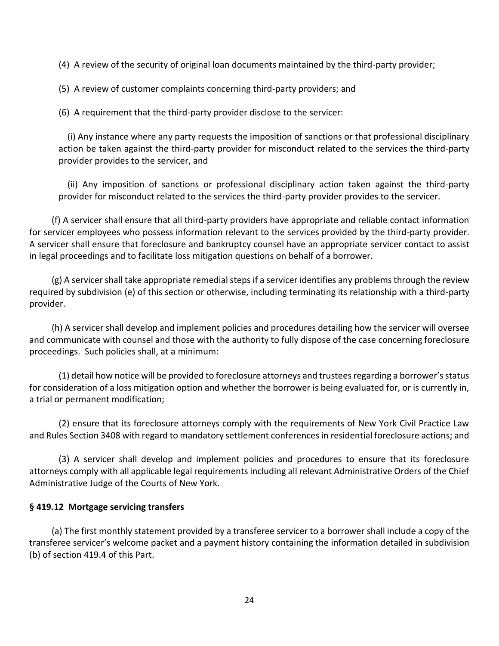(4) A review of the security of original loan documents maintained by the third-party provider;

(5) A review of customer complaints concerning third-party providers; and

(6) A requirement that the third-party provider disclose to the servicer:

(i) Any instance where any party requests the imposition of sanctions or that professional disciplinary action be taken against the third-party provider for misconduct related to the services the third-party provider provides to the servicer, and

(ii) Any imposition of sanctions or professional disciplinary action taken against the third-party provider for misconduct related to the services the third-party provider provides to the servicer.

(f) A servicer shall ensure that all third-party providers have appropriate and reliable contact information for servicer employees who possess information relevant to the services provided by the third-party provider. A servicer shall ensure that foreclosure and bankruptcy counsel have an appropriate servicer contact to assist in legal proceedings and to facilitate loss mitigation questions on behalf of a borrower.

(g) A servicer shall take appropriate remedial steps if a servicer identifies any problems through the review required by subdivision (e) of this section or otherwise, including terminating its relationship with a third-party provider.

(h) A servicer shall develop and implement policies and procedures detailing how the servicer will oversee and communicate with counsel and those with the authority to fully dispose of the case concerning foreclosure proceedings. Such policies shall, at a minimum:

(1) detail how notice will be provided to foreclosure attorneys and trustees regarding a borrower's status for consideration of a loss mitigation option and whether the borrower is being evaluated for, or is currently in, a trial or permanent modification;

(2) ensure that its foreclosure attorneys comply with the requirements of New York Civil Practice Law and Rules Section 3408 with regard to mandatory settlement conferences in residential foreclosure actions; and

(3) A servicer shall develop and implement policies and procedures to ensure that its foreclosure attorneys comply with all applicable legal requirements including all relevant Administrative Orders of the Chief Administrative Judge of the Courts of New York.

### **§ 419.12 Mortgage servicing transfers**

(a) The first monthly statement provided by a transferee servicer to a borrower shall include a copy of the transferee servicer's welcome packet and a payment history containing the information detailed in subdivision (b) of section 419.4 of this Part.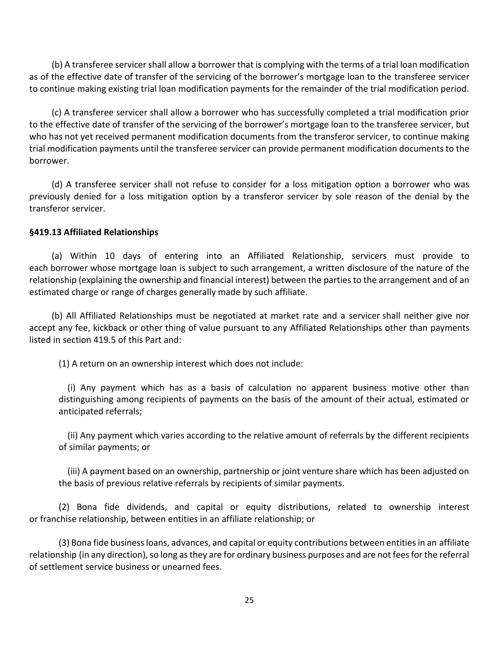(b) A transferee servicer shall allow a borrower that is complying with the terms of a trial loan modification as of the effective date of transfer of the servicing of the borrower's mortgage loan to the transferee servicer to continue making existing trial loan modification payments for the remainder of the trial modification period.

(c) A transferee servicer shall allow a borrower who has successfully completed a trial modification prior to the effective date of transfer of the servicing of the borrower's mortgage loan to the transferee servicer, but who has not yet received permanent modification documents from the transferor servicer, to continue making trial modification payments until the transferee servicer can provide permanent modification documents to the borrower.

(d) A transferee servicer shall not refuse to consider for a loss mitigation option a borrower who was previously denied for a loss mitigation option by a transferor servicer by sole reason of the denial by the transferor servicer.

## **§419.13 Affiliated Relationships**

(a) Within 10 days of entering into an Affiliated Relationship, servicers must provide to each [borrower](https://www.consumerfinance.gov/eregulations/1024-2/2015-18239#1024-2-b-def3) whose mortgage loan is subject to such arrangement, a written disclosure of the nature of the relationship (explaining the ownership and financial interest) between the parties to the arrangement and of an estimated charge or range of charges generally made by such affiliate.

(b) All Affiliated Relationships must be negotiated at market rate and a servicer shall neither give nor accept any fee, kickback or other thing of value pursuant to any Affiliated Relationships other than payments listed in section 419.5 of this Part and:

(1) A return on an ownership interest which does not include:

(i) Any payment which has as a basis of calculation no apparent business motive other than distinguishing among recipients of payments on the basis of the amount of their actual, estimated or anticipated referrals;

(ii) Any payment which varies according to the relative amount of referrals by the different recipients of similar payments; or

(iii) A payment based on an ownership, partnership or joint venture share which has been adjusted on the basis of previous relative referrals by recipients of similar payments.

(2) Bona fide dividends, and capital or equity distributions, related to ownership interest or [franchise](https://www.consumerfinance.gov/eregulations/1024-15/2015-18239#1024-15-c-def1) relationship, between entities in an affiliate [relationship;](https://www.consumerfinance.gov/eregulations/1024-15/2015-18239#1024-15-c-AffiliateRelationship) or

(3) Bona fide business loans, advances, and capital or equity contributions between entities in an [affiliate](https://www.consumerfinance.gov/eregulations/1024-15/2015-18239#1024-15-c-AffiliateRelationship) [relationship](https://www.consumerfinance.gov/eregulations/1024-15/2015-18239#1024-15-c-AffiliateRelationship) (in any direction), so long as they are for ordinary business purposes and are not fees for the referral of [settlement](https://www.consumerfinance.gov/eregulations/1024-2/2015-18239#1024-2-b-SettlementService) service business or unearned fees.